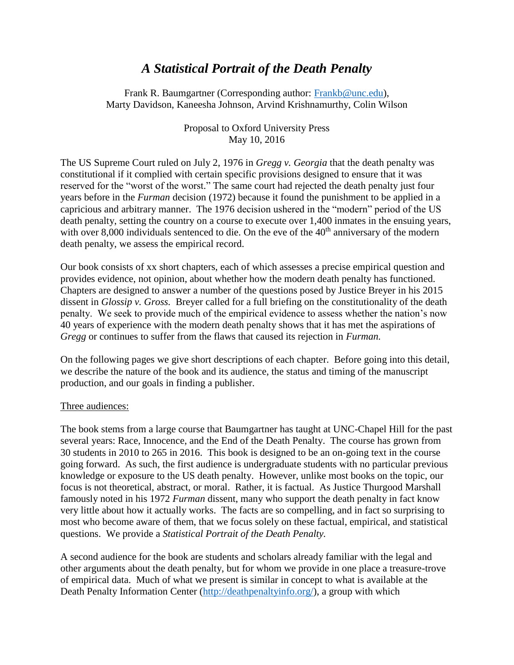# *A Statistical Portrait of the Death Penalty*

Frank R. Baumgartner (Corresponding author: [Frankb@unc.edu\)](mailto:Frankb@unc.edu), Marty Davidson, Kaneesha Johnson, Arvind Krishnamurthy, Colin Wilson

> Proposal to Oxford University Press May 10, 2016

The US Supreme Court ruled on July 2, 1976 in *Gregg v. Georgia* that the death penalty was constitutional if it complied with certain specific provisions designed to ensure that it was reserved for the "worst of the worst." The same court had rejected the death penalty just four years before in the *Furman* decision (1972) because it found the punishment to be applied in a capricious and arbitrary manner. The 1976 decision ushered in the "modern" period of the US death penalty, setting the country on a course to execute over 1,400 inmates in the ensuing years, with over 8,000 individuals sentenced to die. On the eve of the  $40<sup>th</sup>$  anniversary of the modern death penalty, we assess the empirical record.

Our book consists of xx short chapters, each of which assesses a precise empirical question and provides evidence, not opinion, about whether how the modern death penalty has functioned. Chapters are designed to answer a number of the questions posed by Justice Breyer in his 2015 dissent in *Glossip v. Gross.* Breyer called for a full briefing on the constitutionality of the death penalty. We seek to provide much of the empirical evidence to assess whether the nation's now 40 years of experience with the modern death penalty shows that it has met the aspirations of *Gregg* or continues to suffer from the flaws that caused its rejection in *Furman.*

On the following pages we give short descriptions of each chapter. Before going into this detail, we describe the nature of the book and its audience, the status and timing of the manuscript production, and our goals in finding a publisher.

## Three audiences:

The book stems from a large course that Baumgartner has taught at UNC-Chapel Hill for the past several years: Race, Innocence, and the End of the Death Penalty. The course has grown from 30 students in 2010 to 265 in 2016. This book is designed to be an on-going text in the course going forward. As such, the first audience is undergraduate students with no particular previous knowledge or exposure to the US death penalty. However, unlike most books on the topic, our focus is not theoretical, abstract, or moral. Rather, it is factual. As Justice Thurgood Marshall famously noted in his 1972 *Furman* dissent, many who support the death penalty in fact know very little about how it actually works. The facts are so compelling, and in fact so surprising to most who become aware of them, that we focus solely on these factual, empirical, and statistical questions. We provide a *Statistical Portrait of the Death Penalty.*

A second audience for the book are students and scholars already familiar with the legal and other arguments about the death penalty, but for whom we provide in one place a treasure-trove of empirical data. Much of what we present is similar in concept to what is available at the Death Penalty Information Center [\(http://deathpenaltyinfo.org/\)](http://deathpenaltyinfo.org/), a group with which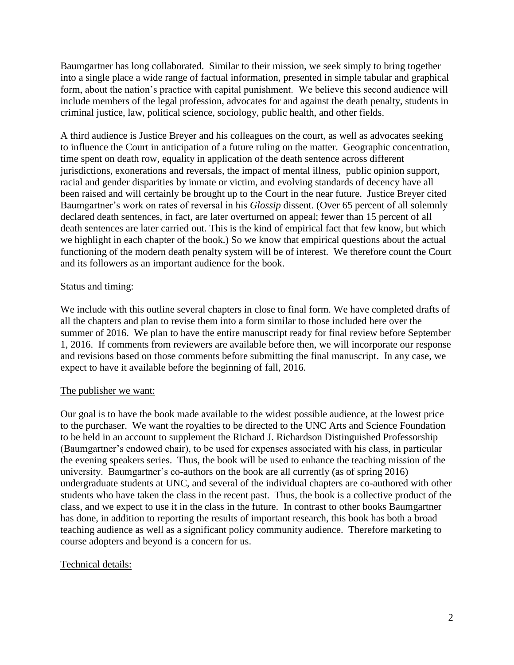Baumgartner has long collaborated. Similar to their mission, we seek simply to bring together into a single place a wide range of factual information, presented in simple tabular and graphical form, about the nation's practice with capital punishment. We believe this second audience will include members of the legal profession, advocates for and against the death penalty, students in criminal justice, law, political science, sociology, public health, and other fields.

A third audience is Justice Breyer and his colleagues on the court, as well as advocates seeking to influence the Court in anticipation of a future ruling on the matter. Geographic concentration, time spent on death row, equality in application of the death sentence across different jurisdictions, exonerations and reversals, the impact of mental illness, public opinion support, racial and gender disparities by inmate or victim, and evolving standards of decency have all been raised and will certainly be brought up to the Court in the near future. Justice Breyer cited Baumgartner's work on rates of reversal in his *Glossip* dissent. (Over 65 percent of all solemnly declared death sentences, in fact, are later overturned on appeal; fewer than 15 percent of all death sentences are later carried out. This is the kind of empirical fact that few know, but which we highlight in each chapter of the book.) So we know that empirical questions about the actual functioning of the modern death penalty system will be of interest. We therefore count the Court and its followers as an important audience for the book.

# Status and timing:

We include with this outline several chapters in close to final form. We have completed drafts of all the chapters and plan to revise them into a form similar to those included here over the summer of 2016. We plan to have the entire manuscript ready for final review before September 1, 2016. If comments from reviewers are available before then, we will incorporate our response and revisions based on those comments before submitting the final manuscript. In any case, we expect to have it available before the beginning of fall, 2016.

## The publisher we want:

Our goal is to have the book made available to the widest possible audience, at the lowest price to the purchaser. We want the royalties to be directed to the UNC Arts and Science Foundation to be held in an account to supplement the Richard J. Richardson Distinguished Professorship (Baumgartner's endowed chair), to be used for expenses associated with his class, in particular the evening speakers series. Thus, the book will be used to enhance the teaching mission of the university. Baumgartner's co-authors on the book are all currently (as of spring 2016) undergraduate students at UNC, and several of the individual chapters are co-authored with other students who have taken the class in the recent past. Thus, the book is a collective product of the class, and we expect to use it in the class in the future. In contrast to other books Baumgartner has done, in addition to reporting the results of important research, this book has both a broad teaching audience as well as a significant policy community audience. Therefore marketing to course adopters and beyond is a concern for us.

# Technical details: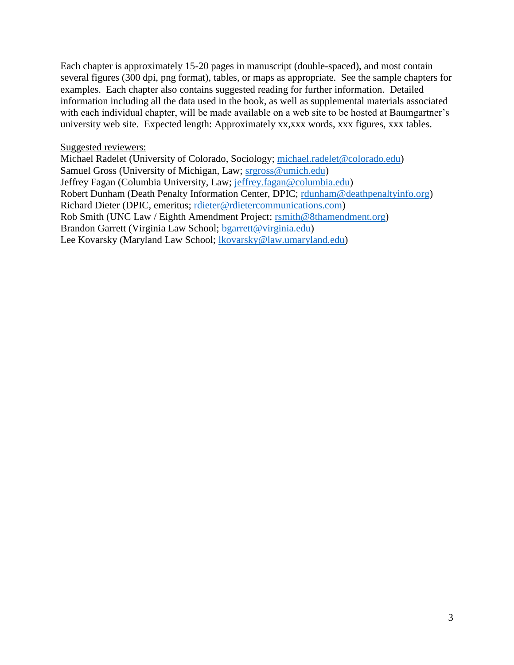Each chapter is approximately 15-20 pages in manuscript (double-spaced), and most contain several figures (300 dpi, png format), tables, or maps as appropriate. See the sample chapters for examples. Each chapter also contains suggested reading for further information. Detailed information including all the data used in the book, as well as supplemental materials associated with each individual chapter, will be made available on a web site to be hosted at Baumgartner's university web site. Expected length: Approximately xx,xxx words, xxx figures, xxx tables.

## Suggested reviewers:

Michael Radelet (University of Colorado, Sociology; [michael.radelet@colorado.edu\)](mailto:michael.radelet@colorado.edu) Samuel Gross (University of Michigan, Law; [srgross@umich.edu\)](mailto:srgross@umich.edu) Jeffrey Fagan (Columbia University, Law; [jeffrey.fagan@columbia.edu\)](mailto:jeffrey.fagan@columbia.edu) Robert Dunham (Death Penalty Information Center, DPIC; [rdunham@deathpenaltyinfo.org\)](mailto:rdunham@deathpenaltyinfo.org) Richard Dieter (DPIC, emeritus; [rdieter@rdietercommunications.com\)](mailto:rdieter@rdietercommunications.com) Rob Smith (UNC Law / Eighth Amendment Project; [rsmith@8thamendment.org\)](mailto:rsmith@8thamendment.org) Brandon Garrett (Virginia Law School; [bgarrett@virginia.edu\)](mailto:bgarrett@virginia.edu) Lee Kovarsky (Maryland Law School; [lkovarsky@law.umaryland.edu\)](mailto:lkovarsky@law.umaryland.edu)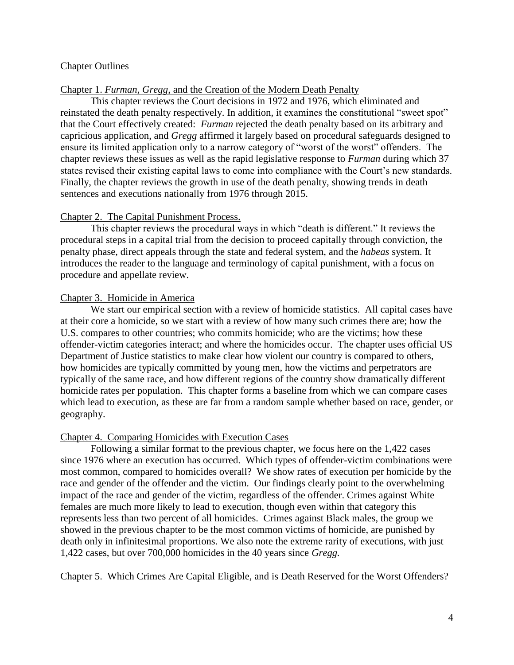## Chapter Outlines

## Chapter 1. *Furman, Gregg*, and the Creation of the Modern Death Penalty

This chapter reviews the Court decisions in 1972 and 1976, which eliminated and reinstated the death penalty respectively. In addition, it examines the constitutional "sweet spot" that the Court effectively created: *Furman* rejected the death penalty based on its arbitrary and capricious application, and *Gregg* affirmed it largely based on procedural safeguards designed to ensure its limited application only to a narrow category of "worst of the worst" offenders. The chapter reviews these issues as well as the rapid legislative response to *Furman* during which 37 states revised their existing capital laws to come into compliance with the Court's new standards. Finally, the chapter reviews the growth in use of the death penalty, showing trends in death sentences and executions nationally from 1976 through 2015.

## Chapter 2. The Capital Punishment Process.

This chapter reviews the procedural ways in which "death is different." It reviews the procedural steps in a capital trial from the decision to proceed capitally through conviction, the penalty phase, direct appeals through the state and federal system, and the *habeas* system. It introduces the reader to the language and terminology of capital punishment, with a focus on procedure and appellate review.

## Chapter 3. Homicide in America

We start our empirical section with a review of homicide statistics. All capital cases have at their core a homicide, so we start with a review of how many such crimes there are; how the U.S. compares to other countries; who commits homicide; who are the victims; how these offender-victim categories interact; and where the homicides occur. The chapter uses official US Department of Justice statistics to make clear how violent our country is compared to others, how homicides are typically committed by young men, how the victims and perpetrators are typically of the same race, and how different regions of the country show dramatically different homicide rates per population. This chapter forms a baseline from which we can compare cases which lead to execution, as these are far from a random sample whether based on race, gender, or geography.

## Chapter 4. Comparing Homicides with Execution Cases

Following a similar format to the previous chapter, we focus here on the 1,422 cases since 1976 where an execution has occurred. Which types of offender-victim combinations were most common, compared to homicides overall? We show rates of execution per homicide by the race and gender of the offender and the victim. Our findings clearly point to the overwhelming impact of the race and gender of the victim, regardless of the offender. Crimes against White females are much more likely to lead to execution, though even within that category this represents less than two percent of all homicides. Crimes against Black males, the group we showed in the previous chapter to be the most common victims of homicide, are punished by death only in infinitesimal proportions. We also note the extreme rarity of executions, with just 1,422 cases, but over 700,000 homicides in the 40 years since *Gregg.*

## Chapter 5. Which Crimes Are Capital Eligible, and is Death Reserved for the Worst Offenders?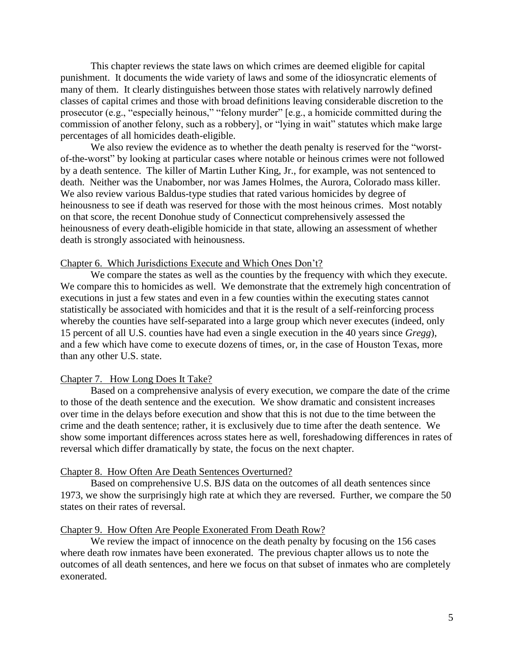This chapter reviews the state laws on which crimes are deemed eligible for capital punishment. It documents the wide variety of laws and some of the idiosyncratic elements of many of them. It clearly distinguishes between those states with relatively narrowly defined classes of capital crimes and those with broad definitions leaving considerable discretion to the prosecutor (e.g., "especially heinous," "felony murder" [e.g., a homicide committed during the commission of another felony, such as a robbery], or "lying in wait" statutes which make large percentages of all homicides death-eligible.

We also review the evidence as to whether the death penalty is reserved for the "worstof-the-worst" by looking at particular cases where notable or heinous crimes were not followed by a death sentence. The killer of Martin Luther King, Jr., for example, was not sentenced to death. Neither was the Unabomber, nor was James Holmes, the Aurora, Colorado mass killer. We also review various Baldus-type studies that rated various homicides by degree of heinousness to see if death was reserved for those with the most heinous crimes. Most notably on that score, the recent Donohue study of Connecticut comprehensively assessed the heinousness of every death-eligible homicide in that state, allowing an assessment of whether death is strongly associated with heinousness.

## Chapter 6. Which Jurisdictions Execute and Which Ones Don't?

We compare the states as well as the counties by the frequency with which they execute. We compare this to homicides as well. We demonstrate that the extremely high concentration of executions in just a few states and even in a few counties within the executing states cannot statistically be associated with homicides and that it is the result of a self-reinforcing process whereby the counties have self-separated into a large group which never executes (indeed, only 15 percent of all U.S. counties have had even a single execution in the 40 years since *Gregg*), and a few which have come to execute dozens of times, or, in the case of Houston Texas, more than any other U.S. state.

#### Chapter 7. How Long Does It Take?

Based on a comprehensive analysis of every execution, we compare the date of the crime to those of the death sentence and the execution. We show dramatic and consistent increases over time in the delays before execution and show that this is not due to the time between the crime and the death sentence; rather, it is exclusively due to time after the death sentence. We show some important differences across states here as well, foreshadowing differences in rates of reversal which differ dramatically by state, the focus on the next chapter.

#### Chapter 8. How Often Are Death Sentences Overturned?

Based on comprehensive U.S. BJS data on the outcomes of all death sentences since 1973, we show the surprisingly high rate at which they are reversed. Further, we compare the 50 states on their rates of reversal.

#### Chapter 9. How Often Are People Exonerated From Death Row?

We review the impact of innocence on the death penalty by focusing on the 156 cases where death row inmates have been exonerated. The previous chapter allows us to note the outcomes of all death sentences, and here we focus on that subset of inmates who are completely exonerated.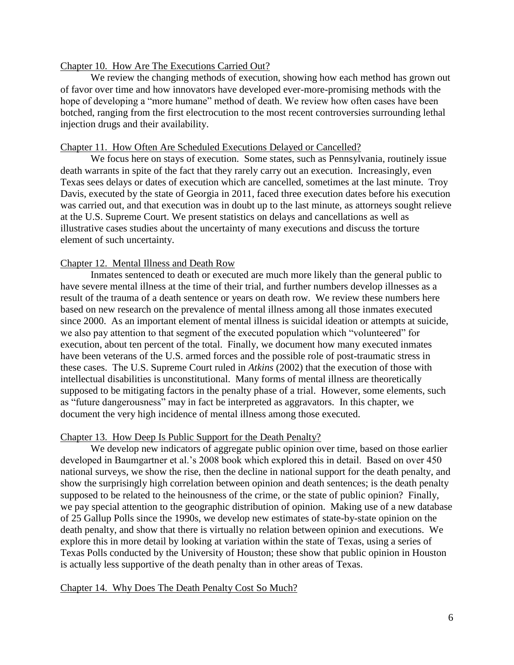#### Chapter 10. How Are The Executions Carried Out?

We review the changing methods of execution, showing how each method has grown out of favor over time and how innovators have developed ever-more-promising methods with the hope of developing a "more humane" method of death. We review how often cases have been botched, ranging from the first electrocution to the most recent controversies surrounding lethal injection drugs and their availability.

## Chapter 11. How Often Are Scheduled Executions Delayed or Cancelled?

We focus here on stays of execution. Some states, such as Pennsylvania, routinely issue death warrants in spite of the fact that they rarely carry out an execution. Increasingly, even Texas sees delays or dates of execution which are cancelled, sometimes at the last minute. Troy Davis, executed by the state of Georgia in 2011, faced three execution dates before his execution was carried out, and that execution was in doubt up to the last minute, as attorneys sought relieve at the U.S. Supreme Court. We present statistics on delays and cancellations as well as illustrative cases studies about the uncertainty of many executions and discuss the torture element of such uncertainty.

## Chapter 12. Mental Illness and Death Row

Inmates sentenced to death or executed are much more likely than the general public to have severe mental illness at the time of their trial, and further numbers develop illnesses as a result of the trauma of a death sentence or years on death row. We review these numbers here based on new research on the prevalence of mental illness among all those inmates executed since 2000. As an important element of mental illness is suicidal ideation or attempts at suicide, we also pay attention to that segment of the executed population which "volunteered" for execution, about ten percent of the total. Finally, we document how many executed inmates have been veterans of the U.S. armed forces and the possible role of post-traumatic stress in these cases. The U.S. Supreme Court ruled in *Atkins* (2002) that the execution of those with intellectual disabilities is unconstitutional. Many forms of mental illness are theoretically supposed to be mitigating factors in the penalty phase of a trial. However, some elements, such as "future dangerousness" may in fact be interpreted as aggravators. In this chapter, we document the very high incidence of mental illness among those executed.

#### Chapter 13. How Deep Is Public Support for the Death Penalty?

We develop new indicators of aggregate public opinion over time, based on those earlier developed in Baumgartner et al.'s 2008 book which explored this in detail. Based on over 450 national surveys, we show the rise, then the decline in national support for the death penalty, and show the surprisingly high correlation between opinion and death sentences; is the death penalty supposed to be related to the heinousness of the crime, or the state of public opinion? Finally, we pay special attention to the geographic distribution of opinion. Making use of a new database of 25 Gallup Polls since the 1990s, we develop new estimates of state-by-state opinion on the death penalty, and show that there is virtually no relation between opinion and executions. We explore this in more detail by looking at variation within the state of Texas, using a series of Texas Polls conducted by the University of Houston; these show that public opinion in Houston is actually less supportive of the death penalty than in other areas of Texas.

#### Chapter 14. Why Does The Death Penalty Cost So Much?